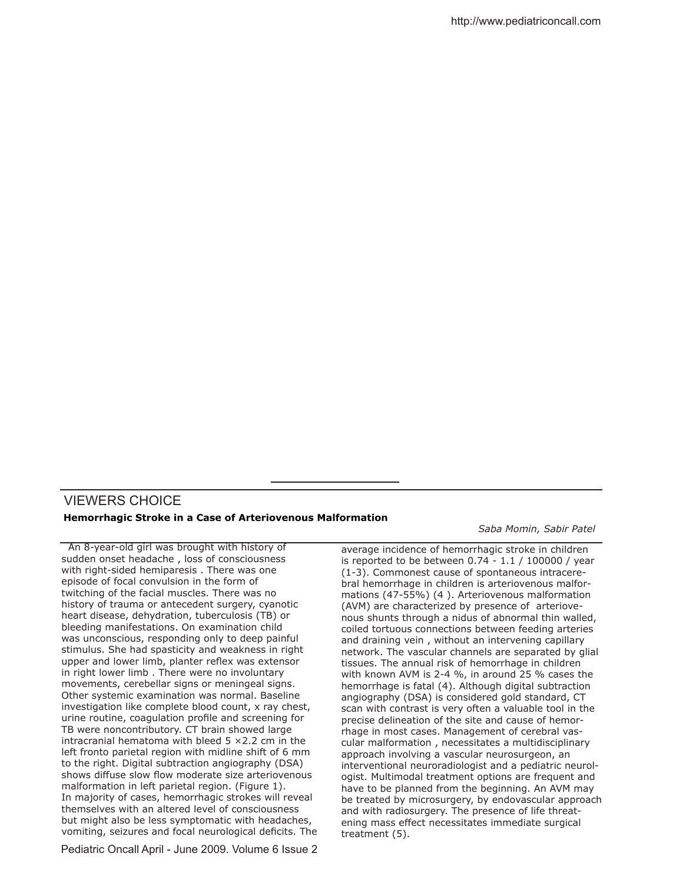## VIEWERS CHOICE  **Hemorrhagic Stroke in a Case of Arteriovenous Malformation**

 *Saba Momin, Sabir Patel*

 An 8-year-old girl was brought with history of sudden onset headache , loss of consciousness with right-sided hemiparesis . There was one episode of focal convulsion in the form of twitching of the facial muscles. There was no history of trauma or antecedent surgery, cyanotic heart disease, dehydration, tuberculosis (TB) or bleeding manifestations. On examination child was unconscious, responding only to deep painful stimulus. She had spasticity and weakness in right upper and lower limb, planter reflex was extensor in right lower limb . There were no involuntary movements, cerebellar signs or meningeal signs. Other systemic examination was normal. Baseline investigation like complete blood count, x ray chest, urine routine, coagulation profile and screening for TB were noncontributory. CT brain showed large intracranial hematoma with bleed  $5 \times 2.2$  cm in the left fronto parietal region with midline shift of 6 mm to the right. Digital subtraction angiography (DSA) shows diffuse slow flow moderate size arteriovenous malformation in left parietal region. (Figure 1). In majority of cases, hemorrhagic strokes will reveal themselves with an altered level of consciousness but might also be less symptomatic with headaches, vomiting, seizures and focal neurological deficits. The

Pediatric Oncall April - June 2009. Volume 6 Issue 2

average incidence of hemorrhagic stroke in children is reported to be between 0.74 - 1.1 / 100000 / year (1-3). Commonest cause of spontaneous intracerebral hemorrhage in children is arteriovenous malformations (47-55%) (4 ). Arteriovenous malformation (AVM) are characterized by presence of arteriovenous shunts through a nidus of abnormal thin walled, coiled tortuous connections between feeding arteries and draining vein , without an intervening capillary network. The vascular channels are separated by glial tissues. The annual risk of hemorrhage in children with known AVM is 2-4 %, in around 25 % cases the hemorrhage is fatal (4). Although digital subtraction angiography (DSA) is considered gold standard, CT scan with contrast is very often a valuable tool in the precise delineation of the site and cause of hemorrhage in most cases. Management of cerebral vascular malformation , necessitates a multidisciplinary approach involving a vascular neurosurgeon, an interventional neuroradiologist and a pediatric neurologist. Multimodal treatment options are frequent and have to be planned from the beginning. An AVM may be treated by microsurgery, by endovascular approach and with radiosurgery. The presence of life threatening mass efect necessitates immediate surgical treatment (5).